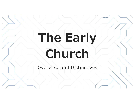# **The Early Church**

Overview and Distinctives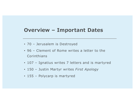#### **Overview – Important Dates**

- 70 Jerusalem is Destroyed
- 96 Clement of Rome writes a letter to the Corinthians
- 107 Ignatius writes 7 letters and is martyred
- 150 Justin Martyr writes *First Apology*
- 155 Polycarp is martyred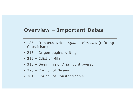#### **Overview – Important Dates**

- 185 Irenaeus writes *Against Heresies* (refuting Gnosticism)
- 215 Origen begins writing
- 313 Edict of Milan
- 318 Beginning of Arian controversy
- 325 Council of Nicaea
- 381 Council of Constantinople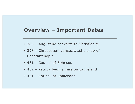#### **Overview – Important Dates**

- 386 Augustine converts to Christianity
- 398 Chrysostom consecrated bishop of Constantinople
- 431 Council of Ephesus
- 432 Patrick begins mission to Ireland
- 451 Council of Chalcedon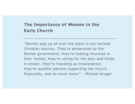#### **The Importance of Women in the Early Church**

"Women pop up all over the place in our earliest Christian sources. They're persecuted by the Roman government; they're hosting churches in their homes; they're caring for the poor and those in prison; they're traveling as missionaries; they're wealthy patrons supporting the church financially; and so much more." – Michael Kruger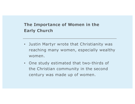#### **The Importance of Women in the Early Church**

- Justin Martyr wrote that Christianity was reaching many women, especially wealthy women.
- One study estimated that two-thirds of the Christian community in the second century was made up of women.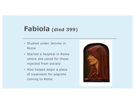## **Fabiola (died 399)**

- Studied under Jerome in Rome
- Started a hospital in Rome where she cared for those rejected from society
- Also helped begin a place of treatment for pilgrims coming to Rome

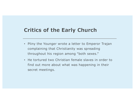## **Critics of the Early Church**

- Pliny the Younger wrote a letter to Emperor Trajan complaining that Christianity was spreading throughout his region among "both sexes."
- He tortured two Christian female slaves in order to find out more about what was happening in their secret meetings.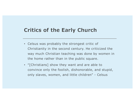### **Critics of the Early Church**

- Celsus was probably the strongest critic of Christianity in the second century. He criticized the way much Christian teaching was done by women in the home rather than in the public square.
- "[Christians] show they want and are able to convince only the foolish, dishonorable, and stupid, only slaves, women, and little children" - Celsus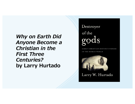*Why on Earth Did Anyone Become a Christian in the First Three Centuries?*  **by Larry Hurtado**

## Destroyer of the

CHRISTIAN DISTINCTIVENESS IN THE ROMAN WORLD



Larry W. Hurtado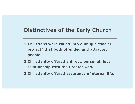## **Distinctives of the Early Church**

- **1.Christians were called into a unique "social project" that both offended and attracted people.**
- **2.Christianity offered a direct, personal, love relationship with the Creator God.**
- **3.Christianity offered assurance of eternal life.**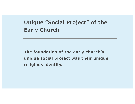## **Unique "Social Project" of the Early Church**

**The foundation of the early church's unique social project was their unique religious identity.**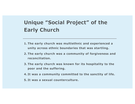## **Unique "Social Project" of the Early Church**

- **1. The early church was multiethnic and experienced a unity across ethnic boundaries that was startling.**
- **2. The early church was a community of forgiveness and reconciliation.**
- **3. The early church was known for its hospitality to the poor and the suffering.**
- **4. It was a community committed to the sanctity of life.**
- **5. It was a sexual counterculture.**